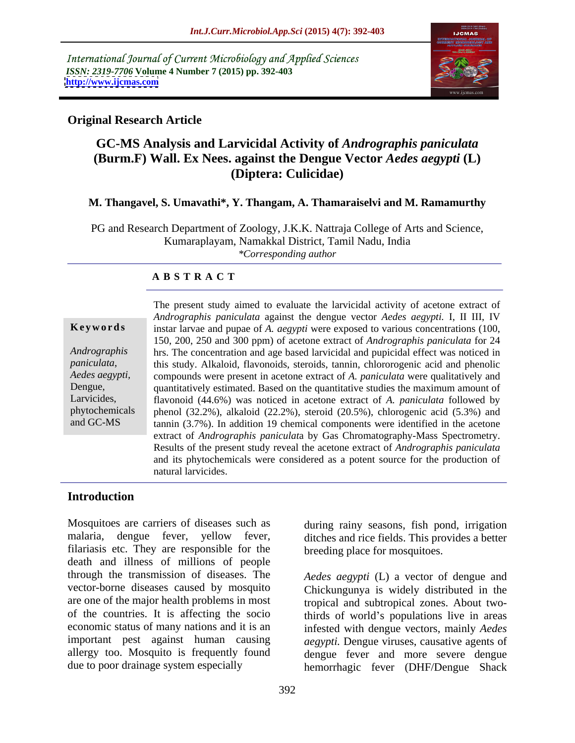International Journal of Current Microbiology and Applied Sciences *ISSN: 2319-7706* **Volume 4 Number 7 (2015) pp. 392-403 <http://www.ijcmas.com>**



# **Original Research Article**

# **GC-MS Analysis and Larvicidal Activity of** *Andrographis paniculata* **(Burm.F) Wall. Ex Nees. against the Dengue Vector** *Aedes aegypti* **(L) (Diptera: Culicidae)**

### **M. Thangavel, S. Umavathi\*, Y. Thangam, A. Thamaraiselvi and M. Ramamurthy**

PG and Research Department of Zoology, J.K.K. Nattraja College of Arts and Science, Kumaraplayam, Namakkal District, Tamil Nadu, India *\*Corresponding author*

### **A B S T R A C T**

*paniculata*, and GC-MS

The present study aimed to evaluate the larvicidal activity of acetone extract of *Andrographis paniculata* against the dengue vector *Aedes aegypti.* I, II III, IV **Keywords** instar larvae and pupae of *A. aegypti* were exposed to various concentrations (100, 150, 200, 250 and 300 ppm) of acetone extract of *Andrographis paniculata* for 24 hrs. The concentration and age based larvicidal and pupicidal effect was noticed in *Andrographis*  this study. Alkaloid, flavonoids, steroids, tannin, chlororogenic acid and phenolic compounds were present in acetone extract of *A. paniculata* were qualitatively and *Aedes aegypti,*  Dengue, quantitatively estimated. Based on the quantitative studies the maximum amount of flavonoid (44.6%) was noticed in acetone extract of *A. paniculata* followed by Larvicides, phytochemicals phenol (32.2%), alkaloid (22.2%), steroid (20.5%), chlorogenic acid (5.3%) and tannin (3.7%). In addition 19 chemical components were identified in the acetone extract of *Andrographis paniculat*a by Gas Chromatography-Mass Spectrometry. Results of the present study reveal the acetone extract of *Andrographis paniculata* and its phytochemicals were considered as a potent source for the production of natural larvicides.

### **Introduction**

Mosquitoes are carriers of diseases such as during rainy seasons, fish pond, irrigation malaria, dengue fever, yellow fever, ditches and rice fields. This provides a better filariasis etc. They are responsible for the death and illness of millions of people through the transmission of diseases. The vector-borne diseases caused by mosquito are one of the major health problems in most of the countries. It is affecting the socio thirds of world's populations live in areas economic status of many nations and it is an important pest against human causing aegypti. Dengue viruses, causative agents of allergy too. Mosquito is frequently found

breeding place for mosquitoes.

due to poor drainage system especially hemorrhagic fever (DHF/Dengue Shack *Aedes aegypti* (L) a vector of dengue and Chickungunya is widely distributed in the tropical and subtropical zones. About twoinfested with dengue vectors, mainly *Aedes*  dengue fever and more severe dengue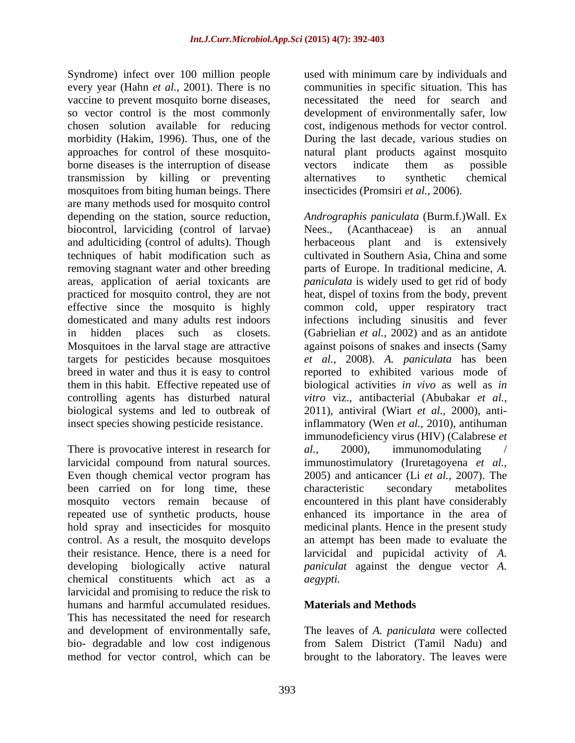Syndrome) infect over 100 million people used with minimum care by individuals and every year (Hahn *et al.,* 2001). There is no communities in specific situation. This has vaccine to prevent mosquito borne diseases, a necessitated the need for search and so vector control is the most commonly development of environmentally safer, low chosen solution available for reducing cost, indigenous methods for vector control. morbidity (Hakim, 1996). Thus, one of the approaches for control of these mosquito- natural plant products against mosquito borne diseases is the interruption of disease vectors indicate them as possible transmission by killing or preventing mosquitoes from biting human beings. There are many methods used for mosquito control biocontrol, larviciding (control of larvae) Nees., (Acanthaceae) is an annual and adulticiding (control of adults). Though herbaceous plant and is extensively techniques of habit modification such as effective since the mosquito is highly targets for pesticides because mosquitoes

There is provocative interest in research for al., 2000), immunomodulating been carried on for long time, these characteristic secondary metabolites hold spray and insecticides for mosquito chemical constituents which act as a larvicidal and promising to reduce the risk to humans and harmful accumulated residues. Materials and Methods This has necessitated the need for research and development of environmentally safe, bio- degradable and low cost indigenous from Salem District (Tamil Nadu) and

During the last decade, various studies on vectors indicate them as possible alternatives to synthetic chemical insecticides (Promsiri *et al.,* 2006).

depending on the station, source reduction, *Andrographis paniculata* (Burm.f.)Wall. Ex removing stagnant water and other breeding parts of Europe. In traditional medicine, *A.*  areas, application of aerial toxicants are *paniculata* iswidely used to get rid of body practiced for mosquito control, they are not heat, dispel of toxins from the body, prevent domesticated and many adults rest indoors infections including sinusitis and fever in hidden places such as closets. (Gabrielian *et al.,* 2002) and as an antidote Mosquitoes in the larval stage are attractive against poisons of snakes and insects (Samy breed in water and thus it is easy to control reported to exhibited various mode of them in this habit. Effective repeated use of biological activities *in vivo* aswell as *in*  controlling agents has disturbed natural *vitro* viz., antibacterial (Abubakar *et al.,* biological systems and led to outbreak of 2011), antiviral (Wiart *et al.,* 2000), antiinsect species showing pesticide resistance. inflammatory (Wen *et al.,* 2010), antihuman larvicidal compound from natural sources. immunostimulatory (Iruretagoyena *et al.,* Even though chemical vector program has 2005) and anticancer (Li *et al.,* 2007). The mosquito vectors remain because of encountered in this plant have considerably repeated use of synthetic products, house enhanced its importance in the area of control. As a result, the mosquito develops an attempt has been made to evaluate the their resistance. Hence, there is a need for larvicidal and pupicidal activity of *A.*  developing biologically active natural *paniculat* against the dengue vector *A.*  Nees., (Acanthaceae) is an annual herbaceous plant and is extensively cultivated in Southern Asia, China and some common cold, upper respiratory tract *et al.,* 2008). *A. paniculata* has been immunodeficiency virus (HIV) (Calabrese *et al.,* 2000), immunomodulating / characteristic secondary metabolites medicinal plants. Hence in the present study *aegypti.*

## **Materials and Methods**

method for vector control, which can be brought to the laboratory. The leaves wereThe leaves of *A. paniculata* were collected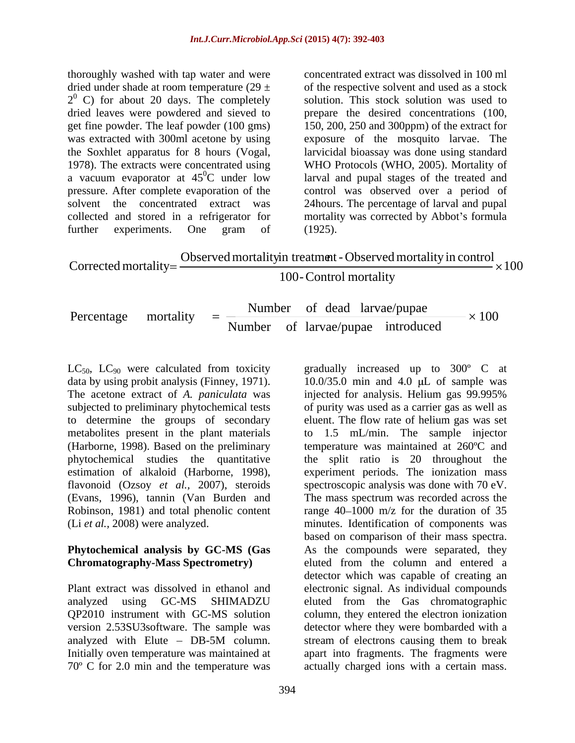thoroughly washed with tap water and were dried under shade at room temperature  $(29 \pm 1)$  of the respective solvent and used as a stock  $2<sup>0</sup>$  C) for about 20 days. The completely solution. This stock solution was used to dried leaves were powdered and sieved to prepare the desired concentrations (100, get fine powder. The leaf powder (100 gms) 150, 200, 250 and 300ppm) of the extract for was extracted with 300ml acetone by using exposure of the mosquito larvae. The the Soxhlet apparatus for 8 hours (Vogal, larvicidal bioassay was done using standard 1978). The extracts were concentrated using WHO Protocols (WHO, 2005). Mortality of a vacuum evaporator at  $45^{\circ}$ C under low larval and pupal stages of the treated and pressure. After complete evaporation of the control was observed over a period of solvent the concentrated extract was 24hours. The percentage of larval and pupal collected and stored in a refrigerator for mortality was corrected by Abbot's formula

further experiments. One gram of (1925). concentrated extract was dissolved in 100 ml solution. This stock solution was used to (1925).

| n treatment - Observed<br>$\blacksquare$ and mortality in control<br>Obst.<br>. Ju inortality in tree for $\sim$<br>Corrected mortality=<br>$\langle 100$ |  |
|-----------------------------------------------------------------------------------------------------------------------------------------------------------|--|
| $100-$<br>- Control mortality                                                                                                                             |  |

| Percentage<br>.nortality<br>$=$<br>larvae/pupae<br>introduced<br>Number | larvae/pupae<br>Numbei<br>dead<br>100 |  |
|-------------------------------------------------------------------------|---------------------------------------|--|
|-------------------------------------------------------------------------|---------------------------------------|--|

The acetone extract of *A. paniculata* was to determine the groups of secondary metabolites present in the plant materials (Harborne, 1998). Based on the preliminary (Evans, 1996), tannin (Van Burden and Robinson, 1981) and total phenolic content

70° C for 2.0 min and the temperature was actually charged ions with a certain mass.

 $LC_{50}$ ,  $LC_{90}$  were calculated from toxicity gradually increased up to 300° C at data by using probit analysis (Finney, 1971).  $10.0/35.0$  min and 4.0  $\mu$ L of sample was subjected to preliminary phytochemical tests of purity was used as a carrier gas as well as phytochemical studies the quantitative the split ratio is 20 throughout the estimation of alkaloid (Harborne, 1998), experiment periods. The ionization mass flavonoid (Ozsoy *et al.,* 2007), steroids spectroscopic analysis was done with 70 eV. (Li *et al.,* 2008) were analyzed. minutes. Identification of components was **Phytochemical analysis by GC-MS (Gas**  As the compounds were separated, they **Chromatography-Mass Spectrometry)** eluted from the column and entered a Plant extract was dissolved in ethanol and electronic signal. As individual compounds analyzed using GC-MS SHIMADZU eluted from the Gas chromatographic QP2010 instrument with GC-MS solution column, they entered the electron ionization version 2.53SU3software. The sample was detector where they were bombarded with a analyzed with Elute – DB-5M column. Stream of electrons causing them to break Initially oven temperature was maintained at apart into fragments. The fragments were injected for analysis. Helium gas 99.995% eluent. The flow rate of helium gas was set to 1.5 mL/min. The sample injector temperature was maintained at 260ºC and The mass spectrum was recorded across the range  $40-1000$  m/z for the duration of 35 based on comparison of their mass spectra. detector which was capable of creating an stream of electrons causing them to break action and the public in the same of the attention of detain and 4.0 µL of sample was injected for analysis. Helium gas 99.995% anisoformity was used as a carrier gas as well as eluent. The flow rate of helium gas was set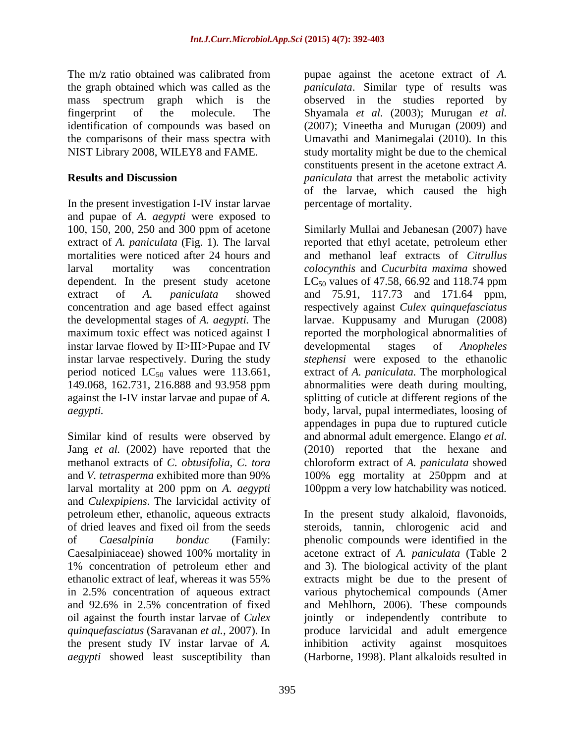The m/z ratio obtained was calibrated from pupae against the acetone extract of *A.*  the graph obtained which was called as the *paniculata*. Similar type of results was mass spectrum graph which is the observed in the studies reported by fingerprint of the molecule. The Shyamala *et al.* (2003); Murugan *et al.* identification of compounds was based on (2007); Vineetha and Murugan (2009) and the comparisons of their mass spectra with NIST Library 2008, WILEY8 and FAME. study mortality might be due to the chemical

In the present investigation I-IV instar larvae and pupae of *A. aegypti* were exposed to mortalities were noticed after 24 hours and dependent. In the present study acetone  $LC_{50}$  values of 47.58, 66.92 and 118.74 ppm instar larvae flowed by II>III>Pupae and IV developmental stages of *Anopheles* instar larvae respectively. During the study against the I-IV instar larvae and pupae of *A.* 

Similar kind of results were observed by larval mortality at 200 ppm on *A. aegypti* 100ppm a very low hatchability was noticed. and *Culexpipiens*. The larvicidal activity of Caesalpiniaceae) showed 100% mortality in and 92.6% in 2.5% concentration of fixed the present study IV instar larvae of *A. aegypti* showed least susceptibility than

**Results and Discussion** *paniculata* that arrest the metabolic activity Umavathi and Manimegalai (2010). In this constituents present in the acetone extract *A.*  of the larvae, which caused the high percentage of mortality.

100, 150, 200, 250 and 300 ppm of acetone Similarly Mullai and Jebanesan (2007) have extract of *A. paniculata* (Fig. 1)*.* The larval reported that ethyl acetate, petroleum ether larval mortality was concentration *colocynthis* and *Cucurbita maxima* showed extract of *A. paniculata* showed and 75.91, 117.73 and 171.64 ppm, concentration and age based effect against respectively against *Culex quinquefasciatus* the developmental stages of *A. aegypti.* The larvae. Kuppusamy and Murugan (2008) maximum toxic effect was noticed against I and reported the morphological abnormalities of period noticed LC50 values were 113.661, extract of *A. paniculata.* The morphological 149.068, 162.731, 216.888 and 93.958 ppm abnormalities were death during moulting, *aegypti.*  body, larval, pupal intermediates, loosing of Jang *et al.* (2002) have reported that the (2010) reported that the hexane and methanol extracts of *C*. *obtusifolia*, *C*. *tora* chloroform extract of *A. paniculata* showed and *V. tetrasperma* exhibited more than 90% 100% egg mortality at 250ppm and at and methanol leaf extracts of *Citrullus*   $LC_{50}$  values of 47.58, 66.92 and 118.74 ppm developmental stages of *Anopheles stephensi* were exposed to the ethanolic splitting of cuticle at different regions of the appendages in pupa due to ruptured cuticle and abnormal adult emergence. Elango *et al.*

petroleum ether, ethanolic, aqueous extracts In the present study alkaloid, flavonoids, of dried leaves and fixed oil from the seeds steroids, tannin, chlorogenic acid and of *Caesalpinia bonduc* (Family: phenolic compounds were identified in the 1% concentration of petroleum ether and and 3)*.* The biological activity of the plant ethanolic extract of leaf, whereas it was 55% extracts might be due to the present of in 2.5% concentration of aqueous extract various phytochemical compounds (Amer oil against the fourth instar larvae of *Culex* jointly or independently contribute to *quinquefasciatus* (Saravanan *et al.,* 2007). In produce larvicidal and adult emergence acetone extract of *A. paniculata* (Table 2 and Mehlhorn, 2006). These compounds inhibition activity against mosquitoes (Harborne, 1998). Plant alkaloids resulted in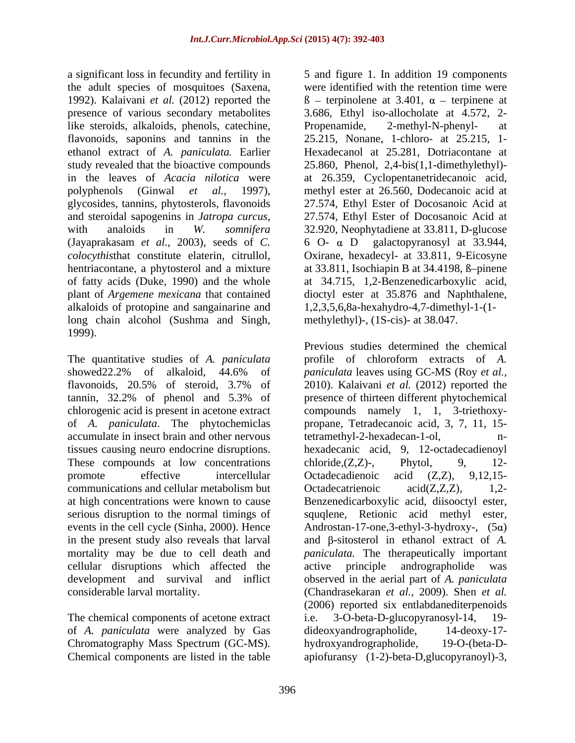a significant loss in fecundity and fertility in 5 and figure 1. In addition 19 components the adult species of mosquitoes (Saxena, like steroids, alkaloids, phenols, catechine, Propenamide, 2-methyl-N-phenyl-<br>at flavonoids, saponins and tannins in the glycosides, tannins, phytosterols, flavonoids (Jayaprakasam *et al.,* 2003), seeds of *C.*  alkaloids of protopine and sangainarine and long chain alcohol (Sushma and Singh, 1999).

The quantitative studies of *A. paniculata* showed22.2% of alkaloid, 44.6% of *paniculata* leaves using GC-MS (Roy *et al.*, flavonoids, 20.5% of steroid, 3.7% of 2010). Kalaivani *et al.* (2012) reported the tannin, 32.2% of phenol and 5.3% of presence of thirteen different phytochemical chlorogenic acid is present in acetone extract compounds namely 1, 1, 3-triethoxy of *A. paniculata*. The phytochemiclas propane, Tetradecanoic acid, 3, 7, 11, 15 accumulate in insect brain and other nervous tissues causing neuro endocrine disruptions. hexadecanic acid, 9, 12-octadecadienoyl These compounds at low concentrations chloride,  $(Z,Z)$ -, Phytol, 9, 12promote effective intercellular Octadecadienoic acid (Z,Z), 9,12,15communications and cellular metabolism but  $\qquad$  Octadecatrienoic  $\qquad$  acid( $Z$ , $Z$ , $Z$ ),  $\qquad$  1.2at high concentrations were known to cause Benzenedicarboxylic acid, diisooctyl ester, serious disruption to the normal timings of squqlene, Retionic acid methyl ester, events in the cell cycle (Sinha, 2000). Hence  $\qquad \qquad$  Androstan-17-one, 3-ethyl-3-hydroxy-,  $(5\alpha)$ in the present study also reveals that larval and  $\beta$ -sitosterol in ethanol extract of *A*. mortality may be due to cell death and *paniculata.* The therapeutically important cellular disruptions which affected the development and survival and inflict observed in the aerial part of *A. paniculata*

The chemical components of acetone extract i.e. 3-O-beta-D-glucopyranosyl-14, 19of *A. paniculata* were analyzed by Gas dideoxyandrographolide, 14-deoxy-17-<br>Chromatography Mass Spectrum (GC-MS). hydroxyandrographolide, 19-O-(beta-D-Chromatography Mass Spectrum (GC-MS).

1992). Kalaivani *et al.* (2012) reported the  $\beta$  – terpinolene at 3.401,  $\alpha$  – terpinene at presence of various secondary metabolites 3.686, Ethyl iso-allocholate at 4.572, 2 ethanol extract of *A. paniculata.* Earlier Hexadecanol at 25.281, Dotriacontane at study revealed that the bioactive compounds 25.860, Phenol, 2,4-bis(1,1-dimethylethyl) in the leaves of *Acacia nilotica* were at 26.359, Cyclopentanetridecanoic acid, polyphenols (Ginwal *et al.,* 1997), methylester at 26.560, Dodecanoic acid at and steroidal sapogenins in *Jatropa curcus*, 27.574, Ethyl Ester of Docosanoic Acid at with analoids in *W. somnifera* 32.920, Neophytadiene at 33.811, D-glucose *colocythis*that constitute elaterin, citrullol, Oxirane, hexadecyl- at 33.811, 9-Eicosyne hentriacontane, a phytosterol and a mixture at 33.811, Isochiapin B at 34.4198, ß-pinene of fatty acids (Duke, 1990) and the whole at 34.715, 1,2-Benzenedicarboxylic acid, plant of *Argemene mexicana* that contained dioctyl ester at 35.876 and Naphthalene, were identified with the retention time were Propenamide, 2-methyl-N-phenyl- at 25.215, Nonane, 1-chloro- at 25.215, 1- 27.574, Ethyl Ester of Docosanoic Acid at 27.574, Ethyl Ester of Docosanoic Acid at 32.920, Neophytadiene at 33.811, D-glucose 6 O- D galactopyranosylat 33.944, 1,2,3,5,6,8a-hexahydro-4,7-dimethyl-1-(1 methylethyl)-, (1S-cis)- at 38.047.

considerable larval mortality. (Chandrasekaran *et al.,* 2009). Shen *et al.* Chemical components are listed in the table apiofuransy (1-2)-beta-D,glucopyranoyl)-3, Previous studies determined the chemical profile of chloroform extracts of *A. paniculata* leaves using GC-MS (Roy *et al.,* tetramethyl-2-hexadecan-1-ol,  $chloride,(Z,Z)$ -, Phytol, 9, 12-Octadecadienoic acid (Z,Z), 9,12,15- Octadecatrienoic acid(Z,Z,Z), 1,2 active principle andrographolide was (2006) reported six entlabdanediterpenoids 3-O-beta-D-glucopyranosyl-14, dideoxyandrographolide, hydroxyandrographolide,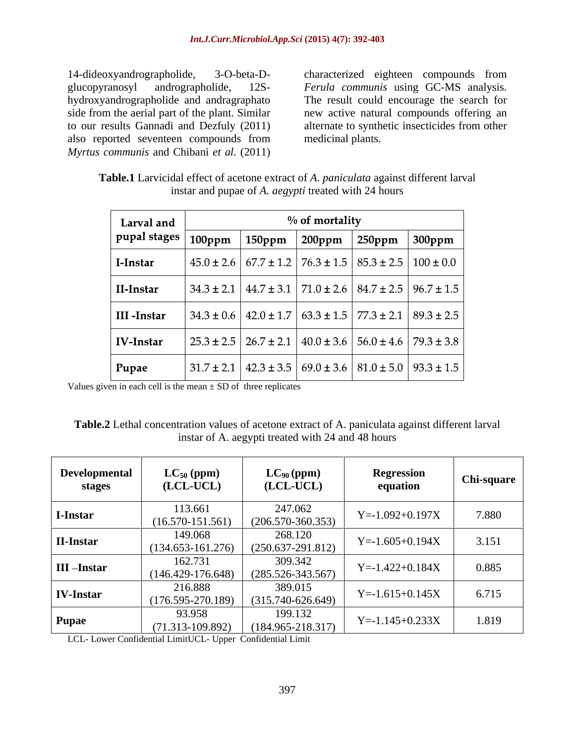14-dideoxyandrographolide, 3-O-beta-D- characterized eighteen compounds from glucopyranosyl andrographolide, 12S- *Ferula communis* using GC-MS analysis. hydroxyandrographolide and andragraphato The result could encourage the search for side from the aerial part of the plant. Similar new active natural compounds offering an to our results Gannadi and Dezfuly (2011) also reported seventeen compounds from *Myrtus communis* and Chibani *et al.* (2011)

alternate to synthetic insecticides from other medicinal plants.

| Table.1 Lar<br>A. <i>paniculata</i> against different larval<br>arvicidal effect of<br>Let of acetone extract of $\Lambda$ |
|----------------------------------------------------------------------------------------------------------------------------|
| $\sim$ 24 hours<br>instar and<br>$\triangle$ pupae of A.<br><i>aegvpti</i> treated with                                    |

| Larval and       |                |                | $%$ of mortality |                |                |
|------------------|----------------|----------------|------------------|----------------|----------------|
| pupal stages     | 100ppm         | $150$ ppm      | $200$ ppm        | $250$ ppm      | $300$ ppm      |
| I-Instar         | $45.0 \pm 2.6$ | $67.7 \pm 1.2$ | $76.3 \pm 1.5$   | $85.3 \pm 2.5$ | $100 \pm 0.0$  |
| II-Instar        | $34.3 \pm 2.1$ | $44.7 \pm 3.1$ | $71.0 \pm 2.6$   | $84.7 \pm 2.5$ | $96.7 \pm 1.5$ |
| III-Instar       | $34.3 \pm 0.6$ | $42.0 \pm 1.7$ | $63.3 \pm 1.5$   | $77.3 \pm 2.1$ | $89.3 \pm 2.5$ |
| <b>IV-Instar</b> | $25.3 \pm 2.5$ | $26.7 \pm 2.1$ | $40.0 \pm 3.6$   | $56.0 \pm 4.6$ | $79.3 \pm 3.8$ |
| Pupae            | $31.7 \pm 2.1$ | $42.3 \pm 3.5$ | $69.0 \pm 3.6$   | $81.0 \pm 5.0$ | $93.3 \pm 1.5$ |

Values given in each cell is the mean  $\pm$  SD of three replicates

**Table.2** Lethal concentration values of acetone extract of A. paniculata against different larval instar of A. aegypti treated with 24 and 48 hours

| Developmental<br>stages | $LC_{50}$ (ppm)<br>(LCL-UCL)     | $LC_{90}$ (ppm)<br>(LCL-UCL)     | <b>Regression</b><br>equation | <b>Chi-square</b> |
|-------------------------|----------------------------------|----------------------------------|-------------------------------|-------------------|
| I-Instar                | 113.661<br>$(16.570 - 151.561)$  | 247.062<br>$(206.570 - 360.353)$ | $Y = -1.092 + 0.197X$         | 7.880             |
| <b>II-Instar</b>        | 149.068<br>$(134.653 - 161.276)$ | 268.120<br>$(250.637-291.812)$   | $Y = -1.605 + 0.194X$         | 3.151             |
| <b>III-Instar</b>       | 162.731<br>$(146.429 - 176.648)$ | 309.342<br>$(285.526 - 343.567)$ | $Y = -1.422 + 0.184X$         | 0.885             |
| <b>IV-Instar</b>        | 216.888<br>$(176.595 - 270.189)$ | 389.015<br>$(315.740 - 626.649)$ | $Y = -1.615 + 0.145X$         | 6.715             |
| <b>Pupae</b>            | 93.958<br>$(71.313 - 109.892)$   | 199.132<br>$(184.965 - 218.317)$ | $Y = -1.145 + 0.233X$         | 1.819             |

LCL- Lower Confidential LimitUCL- Upper Confidential Limit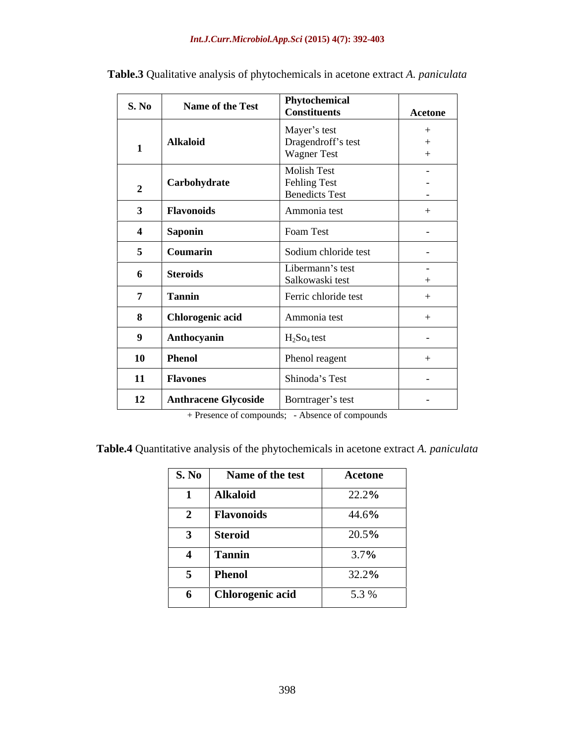| <b>S. No</b>   | Name of the Test            | Phytochemical<br><b>Constituents</b> | Acetone                  |
|----------------|-----------------------------|--------------------------------------|--------------------------|
|                |                             | Mayer's test                         | $+$                      |
|                | <b>Alkaloid</b>             | Dragendroff's test                   | $+$                      |
|                |                             | Wagner Test                          | $+$                      |
|                |                             | Molish Test                          | $\sim$                   |
| $\overline{2}$ | Carbohydrate                | Fehling Test                         | $-$                      |
|                |                             | <b>Benedicts Test</b>                | $-$                      |
| $\mathbf{3}$   | Flavonoids                  | Ammonia test                         | $+$                      |
|                | Saponin                     | Foam Test                            | $\sim$                   |
| 5              | Coumarin                    | Sodium chloride test                 | $\overline{\phantom{0}}$ |
|                |                             | Libermann's test                     | $\sim$                   |
| 6              | <b>Steroids</b>             | Salkowaski test                      | $+$                      |
| $\overline{ }$ | <b>Tannin</b>               | Ferric chloride test                 | $+$                      |
| 8              | <b>Chlorogenic acid</b>     | Ammonia test                         | $+$                      |
| 9              | Anthocyanin                 | $H_2$ So <sub>4</sub> test           | $\overline{\phantom{0}}$ |
| 10             | <b>Phenol</b>               | Phenol reagent                       | $+$                      |
|                |                             |                                      |                          |
| 11             | <b>Flavones</b>             | Shinoda's Test                       | $\sim$                   |
| 12             | <b>Anthracene Glycoside</b> | Borntrager's test                    | $\sim$                   |

**Table.3** Qualitative analysis of phytochemicals in acetone extract *A. paniculata*

+ Presence of compounds; - Absence of compounds

**Table.4** Quantitative analysis of the phytochemicals in acetone extract *A. paniculata*

| S. No Name of the test | <b>Acetone</b>     |
|------------------------|--------------------|
| Alkaloid               | 22.2%              |
| Flavonoids             | 44.6%              |
| <b>Steroid</b>         | $\frac{20.5\%}{ }$ |
| <b>Tannin</b>          | 3.7%               |
| Phenol                 | $32.2\%$           |
| Chlorogenic acid       | $5.3\%$            |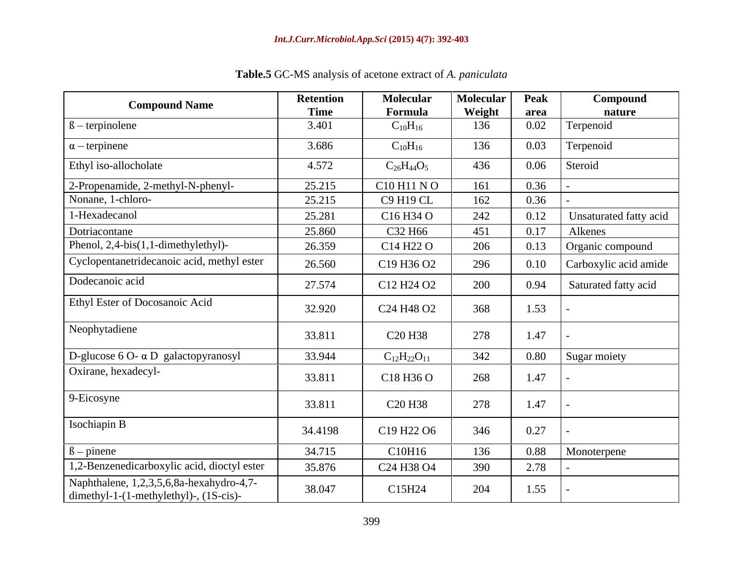| <b>Compound Name</b>                                                               | <b>Retention</b><br><b>Time</b> | <b>Molecular</b><br>Formula                    | Molecular<br>Weight | <b>Peak</b><br>area | Compound<br>nature     |
|------------------------------------------------------------------------------------|---------------------------------|------------------------------------------------|---------------------|---------------------|------------------------|
| $\beta$ – terpinolene                                                              | 3.401                           | $C_{10}H_{16}$                                 | 136                 | 0.02                | Terpenoid              |
| $\alpha$ – terpinene                                                               | 3.686                           | $C_{10}H_{16}$                                 | 136                 | 0.03                | Terpenoid              |
| Ethyl iso-allocholate                                                              | 4.572                           | $C_{26}H_{44}O_5$                              | 436                 | 0.06                | Steroid                |
| 2-Propenamide, 2-methyl-N-phenyl-                                                  | 25.215                          | C10 H11 NO                                     | 161                 | 0.36                |                        |
| Nonane, 1-chloro-                                                                  | 25.215                          | C9 H19 CL                                      | 162                 | 0.36                |                        |
| 1-Hexadecanol                                                                      | 25.281                          | C <sub>16</sub> H <sub>34</sub> O              | 242                 | 0.12                | Unsaturated fatty acid |
| Dotriacontane                                                                      | 25.860                          | C32 H66                                        | 451                 | 0.17                | Alkenes                |
| Phenol, $2,4-bis(1,1-dimethylethyl)$ -                                             | 26.359                          | C14 H22 O                                      | 206                 | 0.13                | Organic compound       |
| Cyclopentanetridecanoic acid, methyl ester                                         | 26.560                          | C19 H36 O2                                     | 296                 | 0.10                | Carboxylic acid amide  |
| Dodecanoic acid                                                                    | 27.574                          | C <sub>12</sub> H <sub>24</sub> O <sub>2</sub> | 200                 | 0.94                | Saturated fatty acid   |
| Ethyl Ester of Docosanoic Acid                                                     | 32.920                          | C <sub>24</sub> H <sub>48</sub> O <sub>2</sub> | 368                 | 1.53                |                        |
| Neophytadiene                                                                      | 33.811                          | C <sub>20</sub> H <sub>38</sub>                | 278                 | 1.47                |                        |
| D-glucose $6$ O- $\alpha$ D galactopyranosyl                                       | 33.944                          | $C_{12}H_{22}O_{11}$                           | 342                 | 0.80                | Sugar moiety           |
| Oxirane, hexadecyl-                                                                | 33.811                          | C18 H36 O                                      | 268                 | 1.47                |                        |
| 9-Eicosyne                                                                         | 33.811                          | C <sub>20</sub> H <sub>38</sub>                | 278                 | 1.47                |                        |
| Isochiapin B                                                                       | 34.4198                         | C19 H22 O6                                     | 346                 | 0.27                |                        |
| $\beta$ – pinene                                                                   | 34.715                          | C10H16                                         | 136                 | 0.88                | Monoterpene            |
| 1,2-Benzenedicarboxylic acid, dioctyl ester                                        | 35.876                          | C <sub>24</sub> H <sub>38</sub> O <sub>4</sub> | 390                 | 2.78                |                        |
| Naphthalene, 1,2,3,5,6,8a-hexahydro-4,7-<br>dimethyl-1-(1-methylethyl)-, (1S-cis)- | 38.047                          | C15H24                                         | 204                 | 1.55                |                        |

**Table.5** GC-MS analysis of acetone extract of *A. paniculata*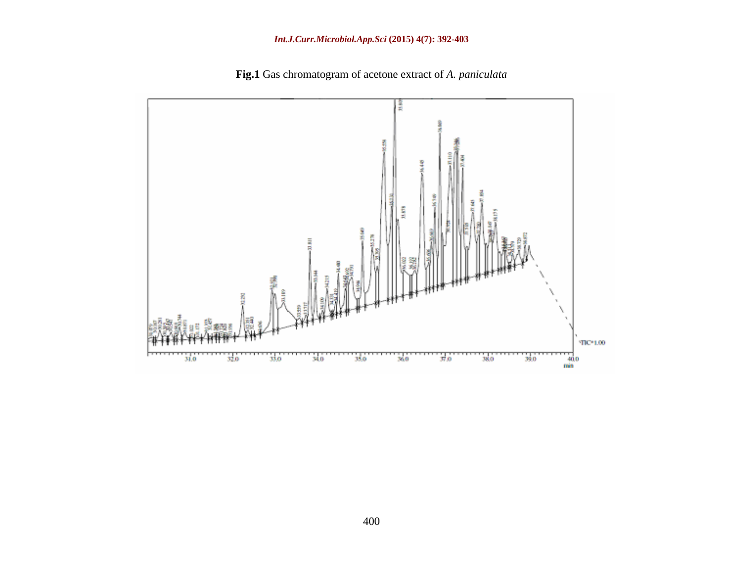

**Fig.1** Gas chromatogram of acetone extract of *A. paniculata*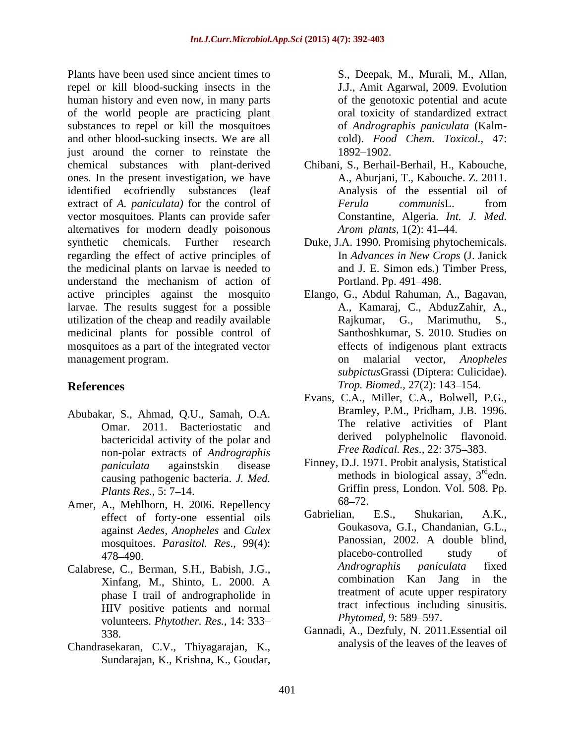Plants have been used since ancient times to repel or kill blood-sucking insects in the human history and even now, in many parts of the world people are practicing plant substances to repel or kill the mosquitoes and other blood-sucking insects. We are all just around the corner to reinstate the 1892–1902. chemical substances with plant-derived Chibani, S., Berhail-Berhail, H., Kabouche, ones. In the present investigation, we have identified ecofriendly substances (leaf extract of *A. paniculata)* for the control of vector mosquitoes. Plants can provide safer alternatives for modern deadly poisonous Arom plants, 1(2): 41–44. synthetic chemicals. Further research Duke, J.A. 1990. Promising phytochemicals. regarding the effect of active principles of the medicinal plants on larvae is needed to understand the mechanism of action of active principles against the mosquito Elango, G., Abdul Rahuman, A., Bagavan, larvae. The results suggest for a possible utilization of the cheap and readily available Rajkumar, G., Marimuthu, S., medicinal plants for possible control of mosquitoes as a part of the integrated vector management program. The contract of the management program.

- Abubakar, S., Ahmad, Q.U., Samah, O.A. bactericidal activity of the polar and non-polar extracts of *Andrographis*  causing pathogenic bacteria. *J. Med.*
- Amer, A., Mehlhorn, H. 2006. Repellency 68–72.<br>
offset of forty one assential oils Gabrielian. E.S., Shukarian. A.K., effect of forty-one essential oils
- phase I trail of andrographolide in HIV positive patients and normal tract intectious include<br>volunteers *Phytother Res* 14:333– *Phytomed*, 9:589–597. volunteers. *Phytother. Res.,* 14: 333
- Chandrasekaran, C.V., Thiyagarajan, K., Sundarajan, K., Krishna, K., Goudar,

S., Deepak, M., Murali, M., Allan, J.J., Amit Agarwal, 2009. Evolution of the genotoxic potential and acute oral toxicity of standardized extract of *Andrographis paniculata* (Kalm cold). *Food Chem. Toxicol.,* 47: 1892–1902.

- A., Aburjani, T., Kabouche. Z. 2011. Analysis of the essential oil of *Ferula communis*L. from Constantine, Algeria. *Int. J. Med. Arom plants,* 1(2): 41–44.
- In *Advances in New Crops* (J. Janick and J. E. Simon eds.) Timber Press, Portland. Pp. 491–498.
- **References** *Trop. Biomed., 27(2): 143–154.* A., Kamaraj, C., AbduzZahir, A., Rajkumar, G., Marimuthu, Santhoshkumar, S. 2010. Studies on effects of indigenous plant extracts on malarial vector, *Anopheles subpictus*Grassi (Diptera: Culicidae).
	- Omar. 2011. Bacteriostatic and The relative activities of Plant<br>bactericidal activity of the polar and derived polyphelinolic flavonoid. Evans, C.A., Miller, C.A., Bolwell, P.G., Bramley, P.M., Pridham, J.B. 1996. The relative activities of Plant derived polyphelnolic *Free Radical. Res., 22: 375-383.*
	- *paniculata* againstskin disease Finney, D.J. 1971. Probit analysis, Statistical *Plants Res.*, 5: 7–14. **Example 3 Contract GET CONSERVING SET SET SERVING SET SERVING SERVING SERVING SERVING SERVING SERVING SERVING SERVING SERVING SERVING SERVING SERVING SERVING SERVING SERVING SERVING SERVING SERVI** methods in biological assay,  $3<sup>rd</sup>$ edn. <sup>rd</sup>edn. Griffin press, London. Vol. 508. Pp.  $68 - 72.$
- against *Aedes, Anopheles* and *Culex* Goukasova, G.I., Chandanian, G.L., mosquitoes *Parasitol Res* 99(A): Panossian, 2002. A double blind, mosquitoes. *Parasitol. Res.*, 99(4): Panossian, 2002. A double blind, <br>data blacebo-controlled study of 478–490. https://www.facebo-controlled study of Calabrese, C., Berman, S.H., Babish, J.G., *Andrographis paniculata* fixed<br>
Vintong M. Shinto J. 2000 A. Combination Kan Jang in the Xinfang, M., Shinto, L. 2000. A Gabrielian, E.S., Shukarian, A.K., Goukasova, G.I., Chandanian, G.L., Panossian, 2002. A double blind, placebo-controlled study of *Andrographis paniculata* fixed combination Kan Jang in treatment of acute upper respiratory tract infectious including sinusitis. *Phytomed,* 9: 589–597.
	- 338. Gannadi, A., Dezfuly, N. 2011.Essential oil analysis of the leaves of the leaves of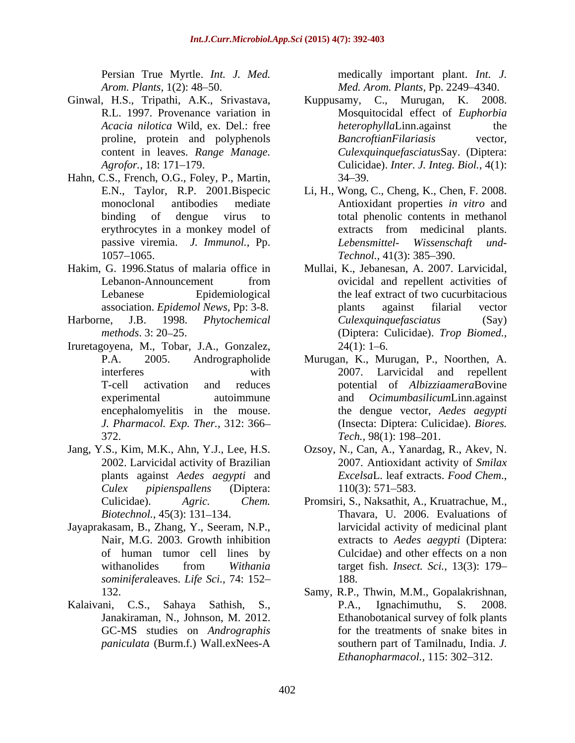- Ginwal, H.S., Tripathi, A.K., Srivastava, Kuppusamy, C., Murugan, K. 2008.
- Hahn, C.S., French, O.G., Foley, P., Martin, 1057–1065. *Technol.*, 41(3): 385–390.
- 
- 
- Iruretagoyena, M., Tobar, J.A., Gonzalez, *J. Pharmacol. Exp. Ther.,* 312: 366 372. *Tech.*, 98(1): 198–201.
- 
- Jayaprakasam, B., Zhang, Y., Seeram, N.P., *sominifera*leaves. *Life Sci.,* 74: 152
- Kalaivani, C.S., Sahaya Sathish, S., P.A., Ignachimuthu, S. 2008. *paniculata* (Burm.f.) Wall.exNees-A

Persian True Myrtle. *Int. J. Med.* medically important plant. *Int. J. Arom. Plants,* 1(2): 48 50. *Med. Arom. Plants,* Pp. 2249 4340.

- R.L. 1997. Provenance variation in Mosquitocidal effect of *Euphorbia Acacia nilotica* Wild, ex. Del.: free proline, protein and polyphenols **Bancroftian Filariasis** vector, content in leaves.*Range Manage. Culexquinquefasciatus*Say. (Diptera: *Agrofor.,* 18: 171 179. Culicidae). *Inter. J. Integ. Biol.,* 4(1): Kuppusamy, C., Murugan, K. *heterophylla*Linn.against the  $BancroftianFilariasis$ 34 39.
- E.N., Taylor, R.P. 2001.Bispecic Li, H., Wong, C., Cheng, K., Chen, F. 2008. monoclonal antibodies mediate Antioxidant properties *in vitro* and binding of dengue virus to total phenolic contents in methanol erythrocytes in a monkey model of passive viremia. *J. Immunol.,* Pp. extracts from medicinal plants. *Lebensmittel- Wissenschaft und- Technol.,* 41(3): 385–390.
- Hakim, G. 1996.Status of malaria office in Mullai, K., Jebanesan, A. 2007. Larvicidal, Lebanon-Announcement from covicidal and repellent activities of Lebanese Epidemiological the leaf extract of two cucurbitacious association. *Epidemol News,* Pp: 3-8. Harborne, J.B. 1998. *Phytochemical Culexquinquefasciatus* (Say) *methods*. 3: 20 25. (Diptera: Culicidae). *Trop Biomed.,* ovicidal and repellent activities of plants against filarial vector  $24(1)$ : 1–6.
	- P.A. 2005. Andrographolide Murugan, K., Murugan, P., Noorthen, A. interferes with 2007. Larvicidal and repellent T-cell activation and reduces potential of *Albizziaamera*Bovine experimental autoimmune and *Ocimumbasilicum*Linn.against encephalomyelitis in the mouse. the dengue vector, *Aedes aegypti* (Insecta: Diptera: Culicidae).*Biores. Tech.,* 98(1): 198–201.
- Jang, Y.S., Kim, M.K., Ahn, Y.J., Lee, H.S. Ozsoy, N., Can, A., Yanardag, R., Akev, N. 2002. Larvicidal activity of Brazilian 2007. Antioxidant activity of *Smilax*  plants against *Aedes aegypti* and *Culex pipienspallens* (Diptera: *Excelsa*L. leaf extracts. *Food Chem*., 110(3): 571 583.
	- Culicidae). *Agric. Chem.* Promsiri, S., Naksathit, A., Kruatrachue, M., *Biotechnol.*, 45(3): 131–134. Thavara, U. 2006. Evaluations of Nair, M.G. 2003. Growth inhibition extracts to *Aedes aegypti* (Diptera: of human tumor cell lines by Culcidae) and other effects on a non withanolides from *Withania*  larvicidal activity of medicinal plant target fish. *Insect. Sci.,* 13(3): 179 188.
	- 132. Samy, R.P., Thwin, M.M., Gopalakrishnan, Janakiraman, N., Johnson, M. 2012. Ethanobotanical survey of folk plants GC-MS studies on *Andrographis*  for the treatments of snake bites in P.A., Ignachimuthu, S. 2008. southern part of Tamilnadu, India. *J. Ethanopharmacol.,* 115: 302-312.